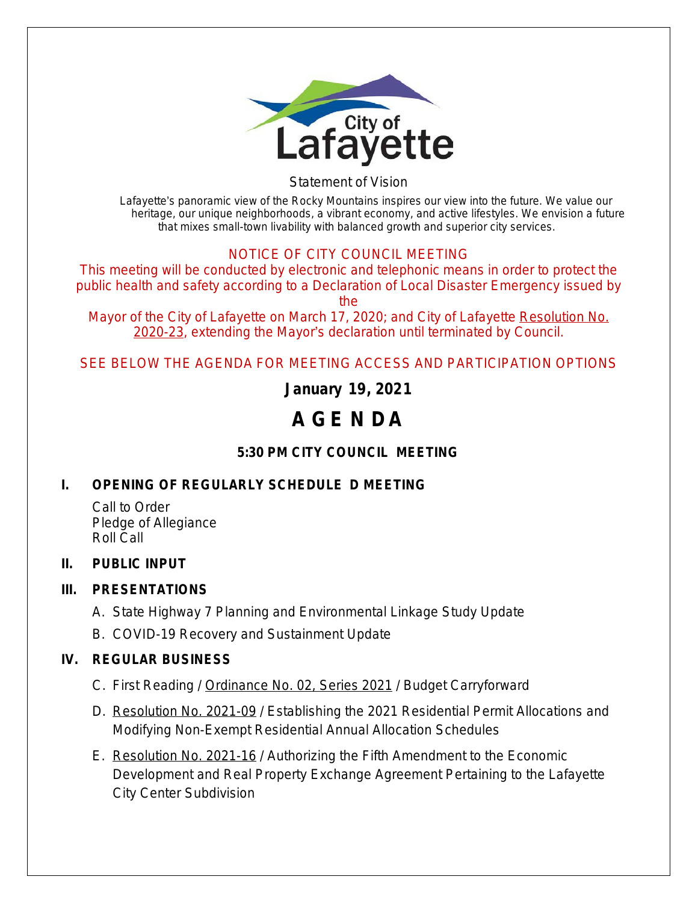

Statement of Vision

*Lafayette*'*s panoramic view of the Rocky Mountains inspires our view into the future. We value our heritage, our unique neighborhoods, a vibrant economy, and active lifestyles. We envision a future that mixes small-town livability with balanced growth and superior city services.*

## NOTICE OF CITY COUNCIL MEETING

This meeting will be conducted by electronic and telephonic means in order to protect the public health and safety according to a Declaration of Local Disaster Emergency issued by the

Mayor of the City of Lafayette on March 17, 2020; and City of Lafayette Resolution No. 2020-23, extending the Mayor's declaration until terminated by Council.

SEE BELOW THE AGENDA FOR MEETING ACCESS AND PARTICIPATION OPTIONS

**January 19, 2021**

# **A GE N DA**

# **5:30 PM CITY COUNCIL MEETING**

# **I. OPENING OF REGULARLY SCHEDULE D MEETING**

Call to Order Pledge of Allegiance Roll Call

## **II. PUBLIC INPUT**

## **III. PRESENTATIONS**

- A. State Highway 7 Planning and Environmental Linkage Study Update
- B. COVID-19 Recovery and Sustainment Update

#### **IV. REGULAR BUSINESS**

- C. First Reading / Ordinance No. 02, Series 2021 / Budget Carryforward
- D. Resolution No. 2021-09 / Establishing the 2021 Residential Permit Allocations and Modifying Non-Exempt Residential Annual Allocation Schedules
- E. Resolution No. 2021-16 / Authorizing the Fifth Amendment to the Economic Development and Real Property Exchange Agreement Pertaining to the Lafayette City Center Subdivision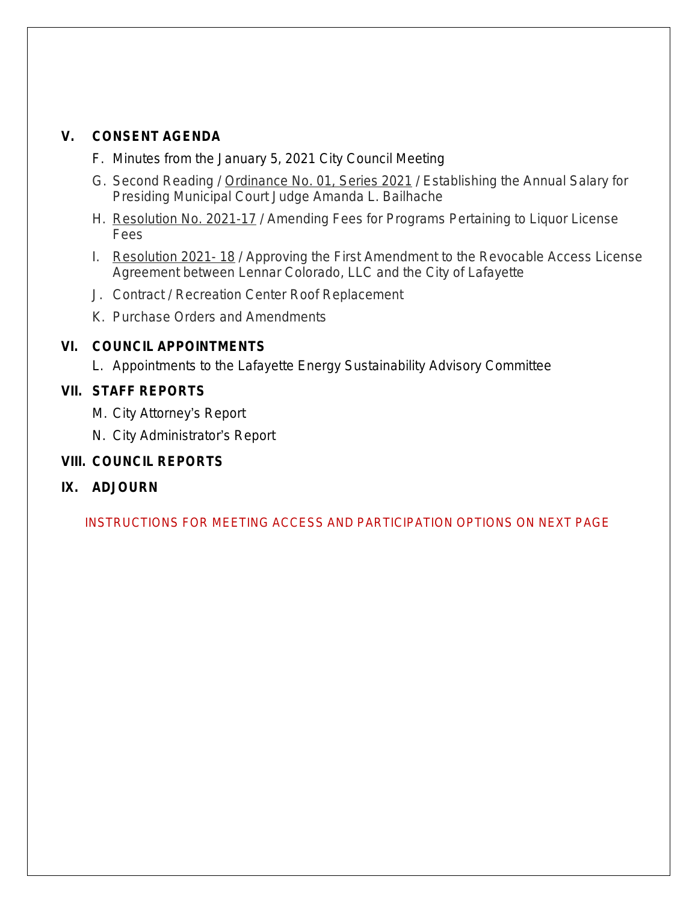#### **V. CONSENT AGENDA**

- F. Minutes from the January 5, 2021 City Council Meeting
- G. Second Reading / Ordinance No. 01, Series 2021 / Establishing the Annual Salary for Presiding Municipal Court Judge Amanda L. Bailhache
- H. Resolution No. 2021-17 / Amending Fees for Programs Pertaining to Liquor License Fees
- I. Resolution 2021- 18 / Approving the First Amendment to the Revocable Access License Agreement between Lennar Colorado, LLC and the City of Lafayette
- J. Contract / Recreation Center Roof Replacement
- K. Purchase Orders and Amendments

## **VI. COUNCIL APPOINTMENTS**

L. Appointments to the Lafayette Energy Sustainability Advisory Committee

## **VII. STAFF REPORTS**

- M. City Attorney's Report
- N. City Administrator's Report

## **VIII. COUNCIL REPORTS**

## **IX. ADJOURN**

INSTRUCTIONS FOR MEETING ACCESS AND PARTICIPATION OPTIONS ON NEXT PAGE